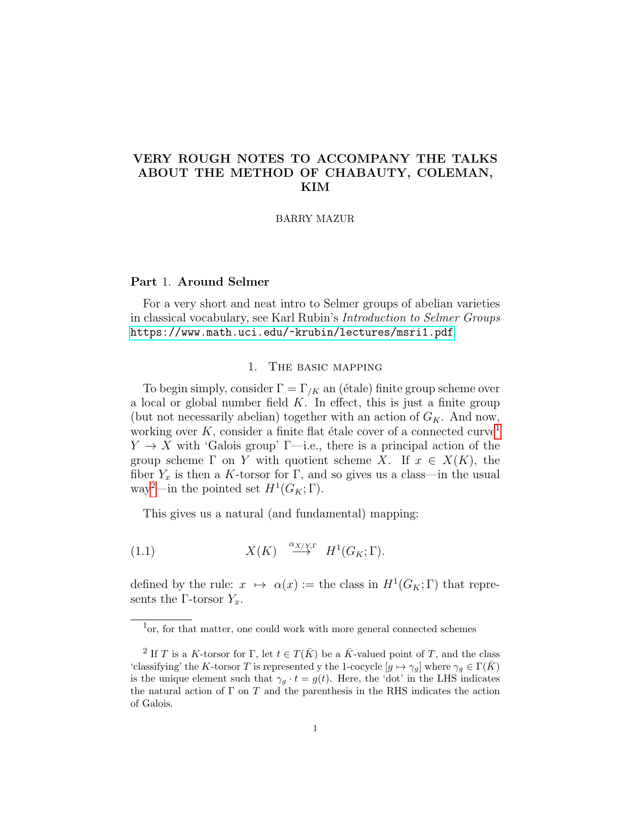# VERY ROUGH NOTES TO ACCOMPANY THE TALKS ABOUT THE METHOD OF CHABAUTY, COLEMAN, KIM

#### BARRY MAZUR

# Part 1. Around Selmer

For a very short and neat intro to Selmer groups of abelian varieties in classical vocabulary, see Karl Rubin's Introduction to Selmer Groups <https://www.math.uci.edu/~krubin/lectures/msri1.pdf>

## 1. The basic mapping

<span id="page-0-3"></span>To begin simply, consider  $\Gamma = \Gamma_{/K}$  an (étale) finite group scheme over a local or global number field  $K$ . In effect, this is just a finite group (but not necessarily abelian) together with an action of  $G_K$ . And now, working over K, consider a finite flat étale cover of a connected curve<sup>[1](#page-0-0)</sup>  $Y \to X$  with 'Galois group'  $\Gamma$ —i.e., there is a principal action of the group scheme  $\Gamma$  on Y with quotient scheme X. If  $x \in X(K)$ , the fiber  $Y_x$  is then a K-torsor for Γ, and so gives us a class—in the usual way<sup>[2](#page-0-1)</sup>—in the pointed set  $H^1(G_K; \Gamma)$ .

<span id="page-0-2"></span>This gives us a natural (and fundamental) mapping:

(1.1) 
$$
X(K) \stackrel{\alpha_{X/Y,\Gamma}}{\longrightarrow} H^1(G_K;\Gamma).
$$

defined by the rule:  $x \mapsto \alpha(x) :=$  the class in  $H^1(G_K; \Gamma)$  that represents the Γ-torsor  $Y_x$ .

<span id="page-0-0"></span><sup>&</sup>lt;sup>1</sup>or, for that matter, one could work with more general connected schemes

<span id="page-0-1"></span><sup>&</sup>lt;sup>2</sup> If T is a K-torsor for Γ, let  $t \in T(\bar{K})$  be a  $\bar{K}$ -valued point of T, and the class 'classifying' the K-torsor T is represented y the 1-cocycle  $[g \mapsto \gamma_g]$  where  $\gamma_g \in \Gamma(K)$ is the unique element such that  $\gamma_g \cdot t = g(t)$ . Here, the 'dot' in the LHS indicates the natural action of  $\Gamma$  on  $T$  and the parenthesis in the RHS indicates the action of Galois.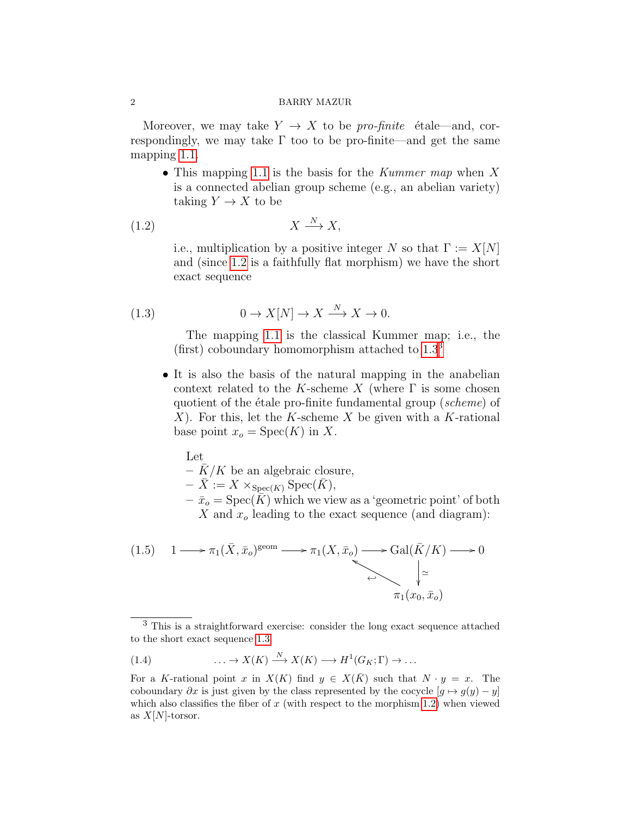#### 2 BARRY MAZUR

Moreover, we may take  $Y \to X$  to be *pro-finite* étale—and, correspondingly, we may take  $\Gamma$  too to be pro-finite—and get the same mapping [1.1.](#page-0-2)

• This mapping [1.1](#page-0-2) is the basis for the *Kummer map* when X is a connected abelian group scheme (e.g., an abelian variety) taking  $Y \to X$  to be

$$
(1.2) \t\t X \xrightarrow{N} X,
$$

<span id="page-1-0"></span>i.e., multiplication by a positive integer N so that  $\Gamma := X[N]$ and (since [1.2](#page-1-0) is a faithfully flat morphism) we have the short exact sequence

(1.3) 
$$
0 \to X[N] \to X \xrightarrow{N} X \to 0.
$$

<span id="page-1-1"></span>The mapping [1.1](#page-0-2) is the classical Kummer map; i.e., the (first) coboundary homomorphism attached to  $1.3<sup>3</sup>$  $1.3<sup>3</sup>$  $1.3<sup>3</sup>$ 

• It is also the basis of the natural mapping in the anabelian context related to the K-scheme X (where  $\Gamma$  is some chosen quotient of the étale pro-finite fundamental group (scheme) of  $X$ ). For this, let the K-scheme X be given with a K-rational base point  $x_o = \text{Spec}(K)$  in X.

Let  
\n
$$
-\bar{K}/K
$$
 be an algebraic closure,  
\n $-\bar{X} := X \times_{\text{Spec}(K)} \text{Spec}(\bar{K}),$   
\n $-\bar{x}_o = \text{Spec}(\bar{K})$  which we view as a 'geometric point' of both  
\nX and  $x_o$  leading to the exact sequence (and diagram):

<span id="page-1-3"></span>
$$
(1.5) \quad 1 \longrightarrow \pi_1(\bar{X}, \bar{x}_o)^{\text{geom}} \longrightarrow \pi_1(X, \bar{x}_o) \longrightarrow \text{Gal}(\bar{K}/K) \longrightarrow 0
$$
\n
$$
\longleftrightarrow \qquad \qquad \downarrow \simeq
$$
\n
$$
\pi_1(x_0, \bar{x}_o)
$$

(1.4) 
$$
\ldots \to X(K) \xrightarrow{N} X(K) \longrightarrow H^1(G_K; \Gamma) \to \ldots
$$

<span id="page-1-2"></span><sup>3</sup> This is a straightforward exercise: consider the long exact sequence attached to the short exact sequence [1.3.](#page-1-1)

For a K-rational point x in  $X(K)$  find  $y \in X(\overline{K})$  such that  $N \cdot y = x$ . The coboundary  $\partial x$  is just given by the class represented by the cocycle  $[g \mapsto g(y) - y]$ which also classifies the fiber of x (with respect to the morphism [1.2\)](#page-1-0) when viewed as  $X[N]$ -torsor.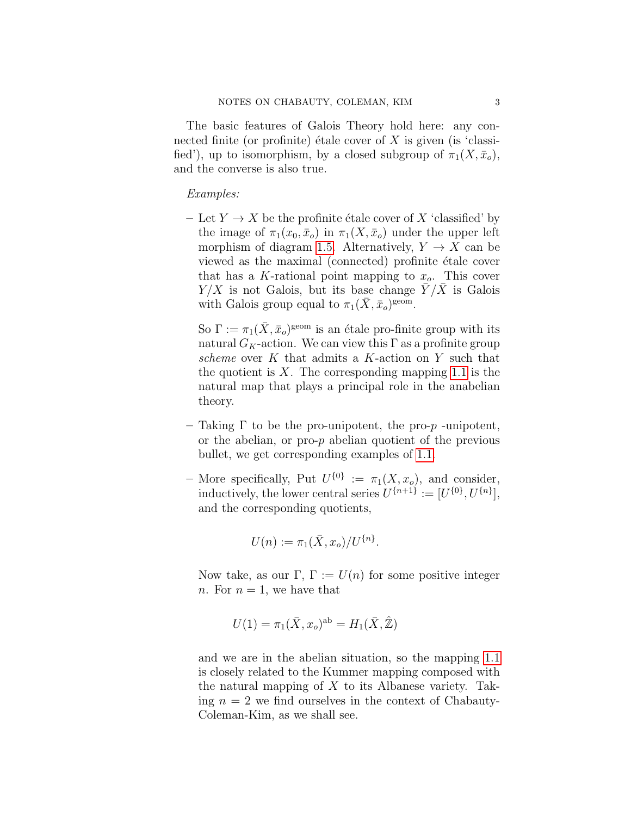The basic features of Galois Theory hold here: any connected finite (or profinite) étale cover of  $X$  is given (is 'classified'), up to isomorphism, by a closed subgroup of  $\pi_1(X, \bar{x}_o)$ , and the converse is also true.

Examples:

– Let  $Y \to X$  be the profinite étale cover of X 'classified' by the image of  $\pi_1(x_0, \bar{x}_o)$  in  $\pi_1(X, \bar{x}_o)$  under the upper left morphism of diagram [1.5.](#page-1-3) Alternatively,  $Y \to X$  can be viewed as the maximal (connected) profinite étale cover that has a K-rational point mapping to  $x<sub>o</sub>$ . This cover  $Y/X$  is not Galois, but its base change  $\overline{Y}/\overline{X}$  is Galois with Galois group equal to  $\pi_1(\bar{X}, \bar{x}_o)$ <sup>geom</sup>.

So  $\Gamma := \pi_1(\bar{X}, \bar{x}_o)^{\text{geom}}$  is an étale pro-finite group with its natural  $G_K$ -action. We can view this  $\Gamma$  as a profinite group scheme over K that admits a K-action on Y such that the quotient is  $X$ . The corresponding mapping [1.1](#page-0-2) is the natural map that plays a principal role in the anabelian theory.

- Taking Γ to be the pro-unipotent, the pro-p -unipotent, or the abelian, or pro- $p$  abelian quotient of the previous bullet, we get corresponding examples of [1.1.](#page-0-2)
- More specifically, Put  $U^{\{0\}} := \pi_1(X, x_o)$ , and consider, inductively, the lower central series  $U^{\{n+1\}} := [U^{\{0\}}, U^{\{n\}}],$ and the corresponding quotients,

$$
U(n) := \pi_1(\bar{X}, x_o) / U^{\{n\}}.
$$

Now take, as our  $\Gamma$ ,  $\Gamma := U(n)$  for some positive integer n. For  $n = 1$ , we have that

$$
U(1) = \pi_1(\bar{X}, x_o)^{ab} = H_1(\bar{X}, \hat{\mathbb{Z}})
$$

and we are in the abelian situation, so the mapping [1.1](#page-0-2) is closely related to the Kummer mapping composed with the natural mapping of  $X$  to its Albanese variety. Taking  $n = 2$  we find ourselves in the context of Chabauty-Coleman-Kim, as we shall see.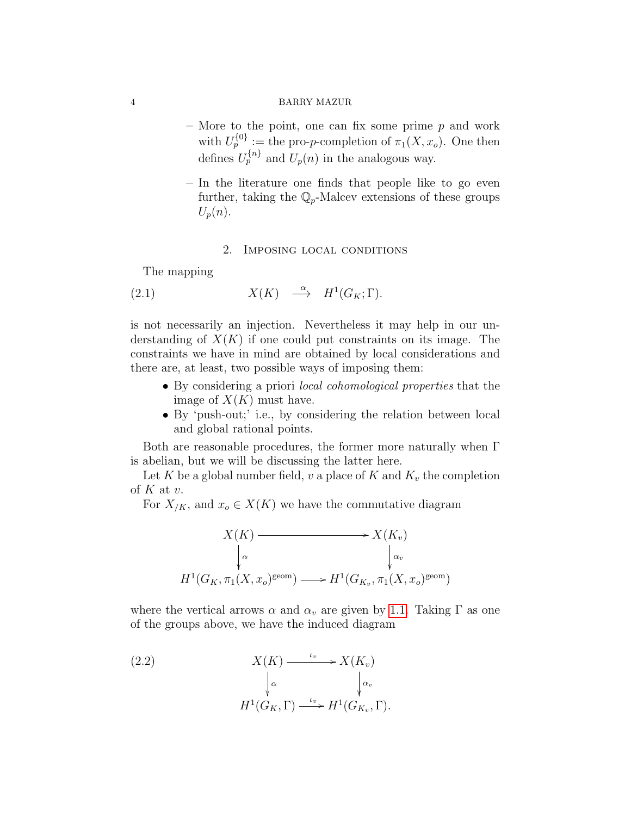# 4 BARRY MAZUR

- More to the point, one can fix some prime  $p$  and work with  $U_p^{\{0\}} :=$  the pro-*p*-completion of  $\pi_1(X, x_o)$ . One then defines  $U_p^{\{n\}}$  and  $U_p(n)$  in the analogous way.
- In the literature one finds that people like to go even further, taking the  $\mathbb{Q}_p$ -Malcev extensions of these groups  $U_p(n)$ .

## 2. Imposing local conditions

The mapping

(2.1) 
$$
X(K) \stackrel{\alpha}{\longrightarrow} H^1(G_K; \Gamma).
$$

is not necessarily an injection. Nevertheless it may help in our understanding of  $X(K)$  if one could put constraints on its image. The constraints we have in mind are obtained by local considerations and there are, at least, two possible ways of imposing them:

- By considering a priori local cohomological properties that the image of  $X(K)$  must have.
- By 'push-out;' i.e., by considering the relation between local and global rational points.

Both are reasonable procedures, the former more naturally when Γ is abelian, but we will be discussing the latter here.

Let K be a global number field, v a place of K and  $K_v$  the completion of  $K$  at  $v$ .

For  $X_{/K}$ , and  $x_o \in X(K)$  we have the commutative diagram

$$
X(K) \longrightarrow X(K_v)
$$
  
\n
$$
\downarrow \alpha \qquad \qquad \downarrow \alpha
$$
  
\n
$$
H^1(G_K, \pi_1(X, x_o)^{\text{geom}}) \longrightarrow H^1(G_{K_v}, \pi_1(X, x_o)^{\text{geom}})
$$

where the vertical arrows  $\alpha$  and  $\alpha_v$  are given by [1.1.](#page-0-2) Taking  $\Gamma$  as one of the groups above, we have the induced diagram

<span id="page-3-0"></span>(2.2) 
$$
X(K) \xrightarrow{\iota_v} X(K_v)
$$

$$
\downarrow^{\alpha} \qquad \qquad \downarrow^{\alpha_v}
$$

$$
H^1(G_K, \Gamma) \xrightarrow{\iota_v} H^1(G_{K_v}, \Gamma).
$$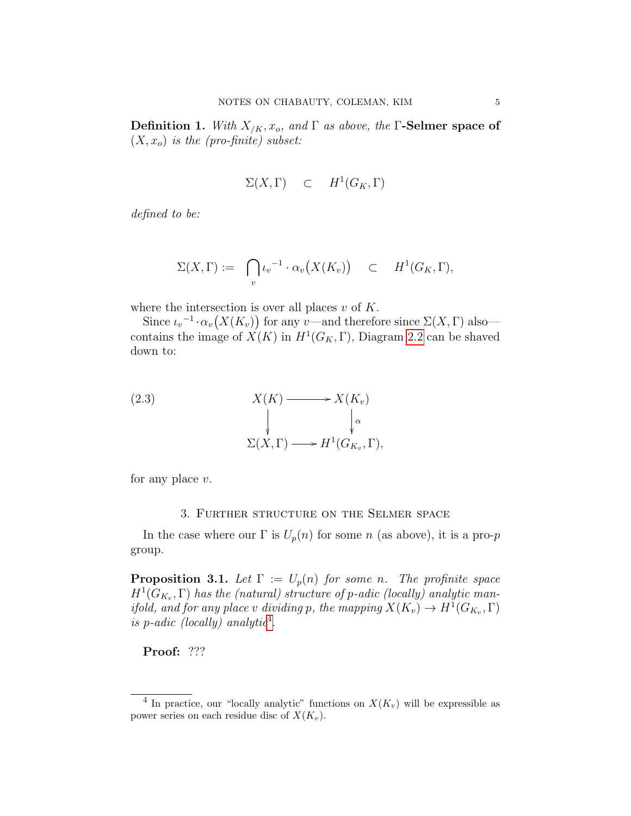**Definition 1.** With  $X_{/K}, x_o$ , and  $\Gamma$  as above, the  $\Gamma$ -Selmer space of  $(X, x_o)$  is the (pro-finite) subset:

$$
\Sigma(X,\Gamma) \quad \subset \quad H^1(G_K,\Gamma)
$$

defined to be:

$$
\Sigma(X,\Gamma) := \bigcap_{v} \iota_{v}^{-1} \cdot \alpha_{v}(X(K_{v})) \subset H^{1}(G_{K},\Gamma),
$$

where the intersection is over all places  $v$  of  $K$ .

Since  $\iota_v^{-1} \cdot \alpha_v(X(K_v))$  for any v—and therefore since  $\Sigma(X,\Gamma)$  also contains the image of  $X(K)$  in  $H<sup>1</sup>(G<sub>K</sub>, \Gamma)$ , Diagram [2.2](#page-3-0) can be shaved down to:

(2.3)  
\n
$$
X(K) \longrightarrow X(K_v)
$$
\n
$$
\downarrow \qquad \qquad \downarrow \alpha
$$
\n
$$
\Sigma(X, \Gamma) \longrightarrow H^1(G_{K_v}, \Gamma),
$$

for any place  $v$ .

#### 3. Further structure on the Selmer space

In the case where our  $\Gamma$  is  $U_p(n)$  for some n (as above), it is a pro-p group.

**Proposition 3.1.** Let  $\Gamma := U_p(n)$  for some n. The profinite space  $H<sup>1</sup>(G<sub>K<sub>v</sub></sub>, \Gamma)$  has the (natural) structure of p-adic (locally) analytic man*ifold, and for any place v dividing p, the mapping*  $X(K_v) \to H^1(G_{K_v}, \Gamma)$ is p-adic (locally) analytic<sup>[4](#page-4-0)</sup>.

Proof: ???

<span id="page-4-0"></span><sup>&</sup>lt;sup>4</sup> In practice, our "locally analytic" functions on  $X(K_v)$  will be expressible as power series on each residue disc of  $X(K_v)$ .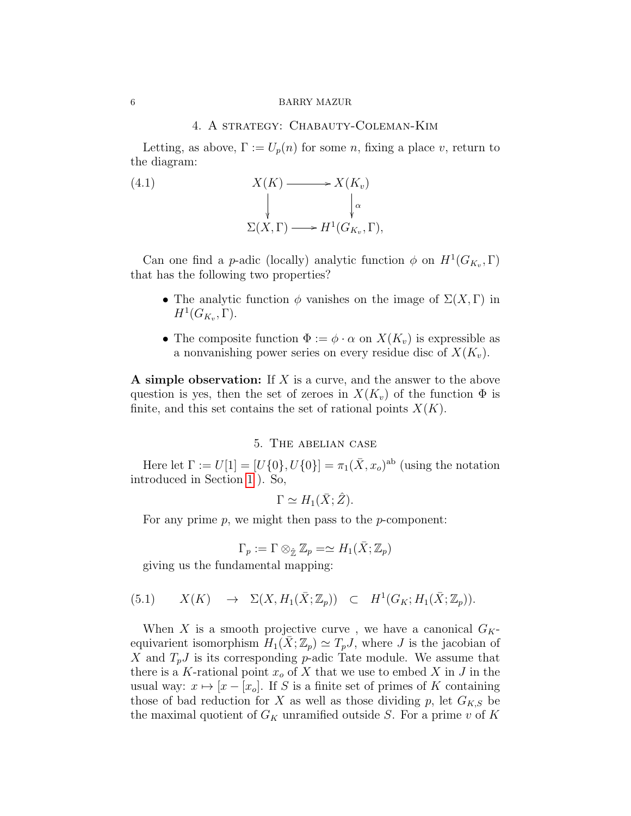#### 6 BARRY MAZUR

# 4. A strategy: Chabauty-Coleman-Kim

Letting, as above,  $\Gamma := U_p(n)$  for some *n*, fixing a place *v*, return to the diagram:

(4.1)  
\n
$$
X(K) \longrightarrow X(K_v)
$$
\n
$$
\downarrow \qquad \qquad \downarrow \alpha
$$
\n
$$
\Sigma(X, \Gamma) \longrightarrow H^1(G_{K_v}, \Gamma),
$$

Can one find a *p*-adic (locally) analytic function  $\phi$  on  $H^1(G_{K_v}, \Gamma)$ that has the following two properties?

- The analytic function  $\phi$  vanishes on the image of  $\Sigma(X,\Gamma)$  in  $H^1(G_{K_v}, \Gamma).$
- The composite function  $\Phi := \phi \cdot \alpha$  on  $X(K_v)$  is expressible as a nonvanishing power series on every residue disc of  $X(K_v)$ .

A simple observation: If X is a curve, and the answer to the above question is yes, then the set of zeroes in  $X(K_v)$  of the function  $\Phi$  is finite, and this set contains the set of rational points  $X(K)$ .

## 5. The abelian case

Here let  $\Gamma := U[1] = [U\{0\}, U\{0\}] = \pi_1(\bar{X}, x_o)^{ab}$  (using the notation introduced in Section [1](#page-0-3) ). So,

$$
\Gamma \simeq H_1(\bar{X}; \hat{Z}).
$$

For any prime  $p$ , we might then pass to the  $p$ -component:

$$
\Gamma_p := \Gamma \otimes_{\hat{\mathbb{Z}}} \mathbb{Z}_p = \simeq H_1(\bar{X}; \mathbb{Z}_p)
$$

<span id="page-5-0"></span>giving us the fundamental mapping:

$$
(5.1) \qquad X(K) \quad \rightarrow \quad \Sigma(X, H_1(\bar{X}; \mathbb{Z}_p)) \quad \subset \quad H^1(G_K; H_1(\bar{X}; \mathbb{Z}_p)).
$$

When X is a smooth projective curve, we have a canonical  $G_K$ equivarient isomorphism  $H_1(\bar{X}; \mathbb{Z}_p) \simeq T_p J$ , where J is the jacobian of X and  $T_pJ$  is its corresponding p-adic Tate module. We assume that there is a K-rational point  $x<sub>o</sub>$  of X that we use to embed X in J in the usual way:  $x \mapsto [x - x_0]$ . If S is a finite set of primes of K containing those of bad reduction for X as well as those dividing p, let  $G_{K,S}$  be the maximal quotient of  $G_K$  unramified outside S. For a prime v of K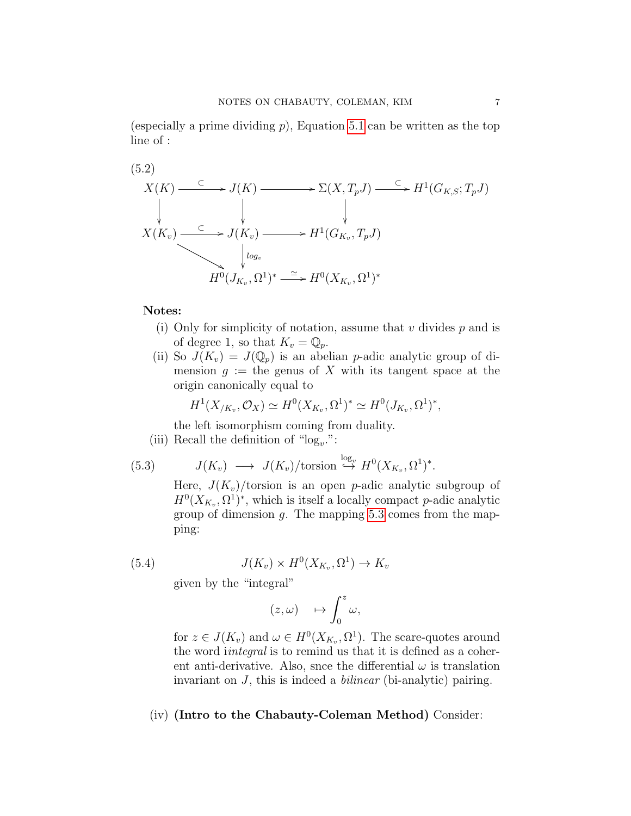(especially a prime dividing  $p$ ), Equation [5.1](#page-5-0) can be written as the top line of :

$$
(5.2)
$$
\n
$$
X(K) \xrightarrow{\subset} J(K) \longrightarrow \Sigma(X, T_p J) \xrightarrow{\subset} H^1(G_{K,S}; T_p J)
$$
\n
$$
\downarrow \qquad \qquad \downarrow
$$
\n
$$
X(K_v) \xrightarrow{\subset} J(K_v) \longrightarrow H^1(G_{K_v}, T_p J)
$$
\n
$$
\downarrow \qquad \qquad \downarrow
$$
\n
$$
H^0(J_{K_v}, \Omega^1)^* \xrightarrow{\simeq} H^0(X_{K_v}, \Omega^1)^*
$$

# Notes:

- (i) Only for simplicity of notation, assume that  $v$  divides  $p$  and is of degree 1, so that  $K_v = \mathbb{Q}_p$ .
- (ii) So  $J(K_v) = J(\mathbb{Q}_p)$  is an abelian p-adic analytic group of dimension  $g :=$  the genus of X with its tangent space at the origin canonically equal to

$$
H^{1}(X_{/K_v}, \mathcal{O}_X) \simeq H^{0}(X_{K_v}, \Omega^{1})^* \simeq H^{0}(J_{K_v}, \Omega^{1})^*,
$$

the left isomorphism coming from duality.

(iii) Recall the definition of " $log<sub>v</sub>$ .":

(5.3) 
$$
J(K_v) \longrightarrow J(K_v)/\text{torsion} \stackrel{\log_v}{\hookrightarrow} H^0(X_{K_v}, \Omega^1)^*.
$$

<span id="page-6-0"></span>Here,  $J(K_v)/$  torsion is an open *p*-adic analytic subgroup of  $H^0(X_{K_v}, \Omega^1)^*$ , which is itself a locally compact p-adic analytic group of dimension  $q$ . The mapping [5.3](#page-6-0) comes from the mapping:

(5.4) 
$$
J(K_v) \times H^0(X_{K_v}, \Omega^1) \to K_v
$$

given by the "integral"

$$
(z,\omega)\quad \mapsto \int_0^z \omega,
$$

for  $z \in J(K_v)$  and  $\omega \in H^0(X_{K_v}, \Omega^1)$ . The scare-quotes around the word *integral* is to remind us that it is defined as a coherent anti-derivative. Also, snce the differential  $\omega$  is translation invariant on  $J$ , this is indeed a *bilinear* (bi-analytic) pairing.

# (iv) (Intro to the Chabauty-Coleman Method) Consider: